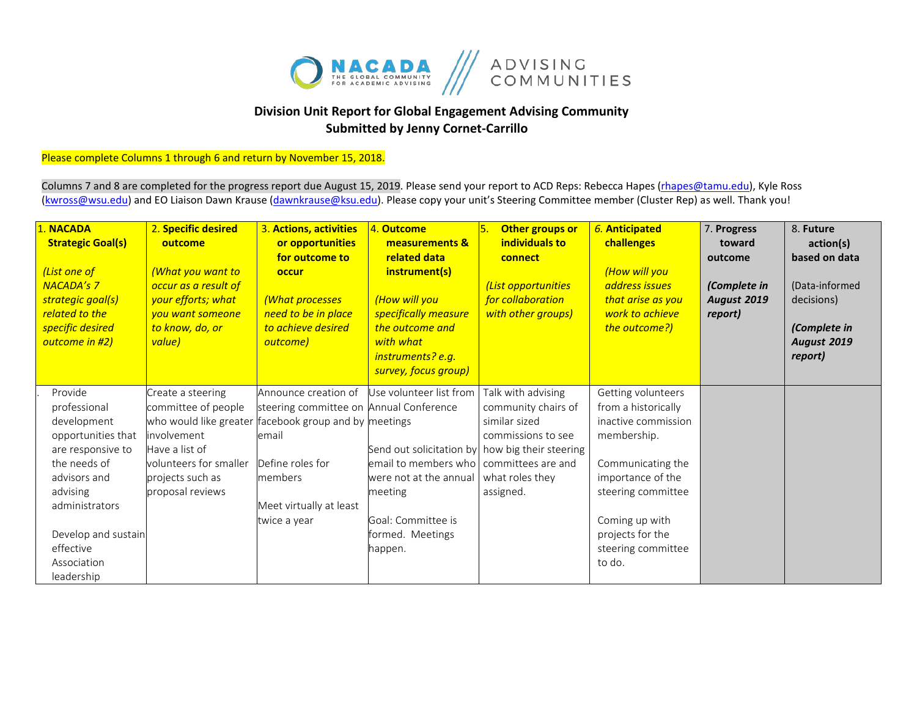

## **Division Unit Report for Global Engagement Advising Community Submitted by Jenny Cornet-Carrillo**

## Please complete Columns 1 through 6 and return by November 15, 2018.

Columns 7 and 8 are completed for the progress report due August 15, 2019. Please send your report to ACD Reps: Rebecca Hapes (rhapes@tamu.edu), Kyle Ross [\(kwross@wsu.edu\)](mailto:kwross@wsu.edu) and EO Liaison Dawn Krause (dawnkrause@ksu.edu). Please copy your unit's Steering Committee member (Cluster Rep) as well. Thank you!

| 1. NACADA<br><b>Strategic Goal(s)</b><br>(List one of<br><b>NACADA's 7</b><br>strategic goal(s)<br>related to the<br>specific desired<br>outcome in #2)                                                          | 2. Specific desired<br>outcome<br>(What you want to<br>occur as a result of<br>your efforts; what<br>you want someone<br>to know, do, or<br>value)                                                   | 3. Actions, activities<br>or opportunities<br>for outcome to<br>occur<br>(What processes<br>need to be in place<br>to achieve desired<br>outcome)  | 4. Outcome<br>measurements &<br>related data<br>instrument(s)<br>(How will you<br>specifically measure<br>the outcome and<br>with what<br>instruments? e.g.<br>survey, focus group)                                                 | Other groups or<br>۱5.<br>individuals to<br>connect<br>(List opportunities<br>for collaboration<br>with other groups) | 6. Anticipated<br>challenges<br>(How will you<br>address issues<br>that arise as you<br>work to achieve<br>the outcome?)                                                                                              | 7. Progress<br>toward<br>outcome<br>(Complete in<br><b>August 2019</b><br>report) | 8. Future<br>action(s)<br>based on data<br>(Data-informed<br>decisions)<br>(Complete in<br><b>August 2019</b><br>report) |
|------------------------------------------------------------------------------------------------------------------------------------------------------------------------------------------------------------------|------------------------------------------------------------------------------------------------------------------------------------------------------------------------------------------------------|----------------------------------------------------------------------------------------------------------------------------------------------------|-------------------------------------------------------------------------------------------------------------------------------------------------------------------------------------------------------------------------------------|-----------------------------------------------------------------------------------------------------------------------|-----------------------------------------------------------------------------------------------------------------------------------------------------------------------------------------------------------------------|-----------------------------------------------------------------------------------|--------------------------------------------------------------------------------------------------------------------------|
| Provide<br>professional<br>development<br>opportunities that<br>are responsive to<br>the needs of<br>advisors and<br>advising<br>administrators<br>Develop and sustain<br>effective<br>Association<br>leadership | Create a steering<br>committee of people<br>who would like greater facebook group and by meetings<br>involvement<br>Have a list of<br>volunteers for smaller<br>projects such as<br>proposal reviews | Announce creation of<br>steering committee on Annual Conference<br>email<br>Define roles for<br>members<br>Meet virtually at least<br>twice a year | Use volunteer list from<br>Send out solicitation by how big their steering<br>email to members who   committees are and<br>were not at the annual I what roles thev<br>meeting<br>Goal: Committee is<br>formed. Meetings<br>happen. | Talk with advising<br>community chairs of<br>similar sized<br>commissions to see<br>assigned.                         | Getting volunteers<br>from a historically<br>inactive commission<br>membership.<br>Communicating the<br>importance of the<br>steering committee<br>Coming up with<br>projects for the<br>steering committee<br>to do. |                                                                                   |                                                                                                                          |